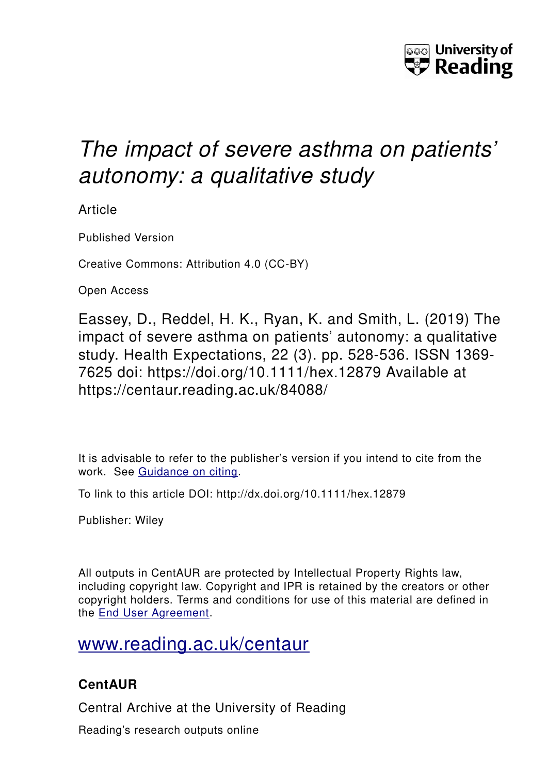

# *The impact of severe asthma on patients' autonomy: a qualitative study*

Article

Published Version

Creative Commons: Attribution 4.0 (CC-BY)

Open Access

Eassey, D., Reddel, H. K., Ryan, K. and Smith, L. (2019) The impact of severe asthma on patients' autonomy: a qualitative study. Health Expectations, 22 (3). pp. 528-536. ISSN 1369- 7625 doi: https://doi.org/10.1111/hex.12879 Available at https://centaur.reading.ac.uk/84088/

It is advisable to refer to the publisher's version if you intend to cite from the work. See [Guidance on citing.](http://centaur.reading.ac.uk/71187/10/CentAUR%20citing%20guide.pdf)

To link to this article DOI: http://dx.doi.org/10.1111/hex.12879

Publisher: Wiley

All outputs in CentAUR are protected by Intellectual Property Rights law, including copyright law. Copyright and IPR is retained by the creators or other copyright holders. Terms and conditions for use of this material are defined in the [End User Agreement.](http://centaur.reading.ac.uk/licence)

## [www.reading.ac.uk/centaur](http://www.reading.ac.uk/centaur)

## **CentAUR**

Central Archive at the University of Reading

Reading's research outputs online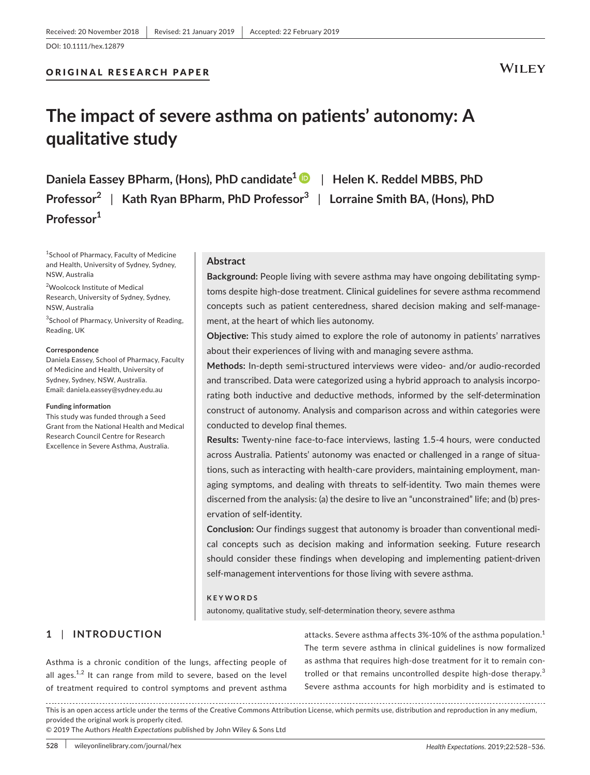## ORIGINAL RESEARCH PAPER

## **WILEY**

## **The impact of severe asthma on patients' autonomy: A qualitative study**

**Daniela Eassey BPharm, (Hons), PhD candidate1** | **Helen K. Reddel MBBS, PhD Professor<sup>2</sup>** | **Kath Ryan BPharm, PhD Professor<sup>3</sup>** | **Lorraine Smith BA, (Hons), PhD Professor1**

1 School of Pharmacy, Faculty of Medicine and Health, University of Sydney, Sydney, NSW, Australia

<sup>2</sup>Woolcock Institute of Medical Research, University of Sydney, Sydney, NSW, Australia

<sup>3</sup>School of Pharmacy, University of Reading, Reading, UK

#### **Correspondence**

Daniela Eassey, School of Pharmacy, Faculty of Medicine and Health, University of Sydney, Sydney, NSW, Australia. Email: [daniela.eassey@sydney.edu.au](mailto:daniela.eassey@sydney.edu.au)

#### **Funding information**

This study was funded through a Seed Grant from the National Health and Medical Research Council Centre for Research Excellence in Severe Asthma, Australia.

## **Abstract**

**Background:** People living with severe asthma may have ongoing debilitating symptoms despite high-dose treatment. Clinical guidelines for severe asthma recommend concepts such as patient centeredness, shared decision making and self-management, at the heart of which lies autonomy.

**Objective:** This study aimed to explore the role of autonomy in patients' narratives about their experiences of living with and managing severe asthma.

**Methods:** In‐depth semi‐structured interviews were video‐ and/or audio‐recorded and transcribed. Data were categorized using a hybrid approach to analysis incorporating both inductive and deductive methods, informed by the self‐determination construct of autonomy. Analysis and comparison across and within categories were conducted to develop final themes.

**Results:** Twenty‐nine face‐to‐face interviews, lasting 1.5‐4 hours, were conducted across Australia. Patients' autonomy was enacted or challenged in a range of situations, such as interacting with health‐care providers, maintaining employment, managing symptoms, and dealing with threats to self‐identity. Two main themes were discerned from the analysis: (a) the desire to live an "unconstrained" life; and (b) preservation of self‐identity.

**Conclusion:** Our findings suggest that autonomy is broader than conventional medical concepts such as decision making and information seeking. Future research should consider these findings when developing and implementing patient‐driven self-management interventions for those living with severe asthma.

#### **KEYWORDS**

autonomy, qualitative study, self‐determination theory, severe asthma

## **1** | **INTRODUCTION**

Asthma is a chronic condition of the lungs, affecting people of all ages. $1,2$  It can range from mild to severe, based on the level of treatment required to control symptoms and prevent asthma attacks. Severe asthma affects 3%-10% of the asthma population.<sup>1</sup> The term severe asthma in clinical guidelines is now formalized as asthma that requires high‐dose treatment for it to remain controlled or that remains uncontrolled despite high-dose therapy.<sup>3</sup> Severe asthma accounts for high morbidity and is estimated to

This is an open access article under the terms of the [Creative Commons Attribution](http://creativecommons.org/licenses/by/4.0/) License, which permits use, distribution and reproduction in any medium, provided the original work is properly cited.

© 2019 The Authors *Health Expectations* published by John Wiley & Sons Ltd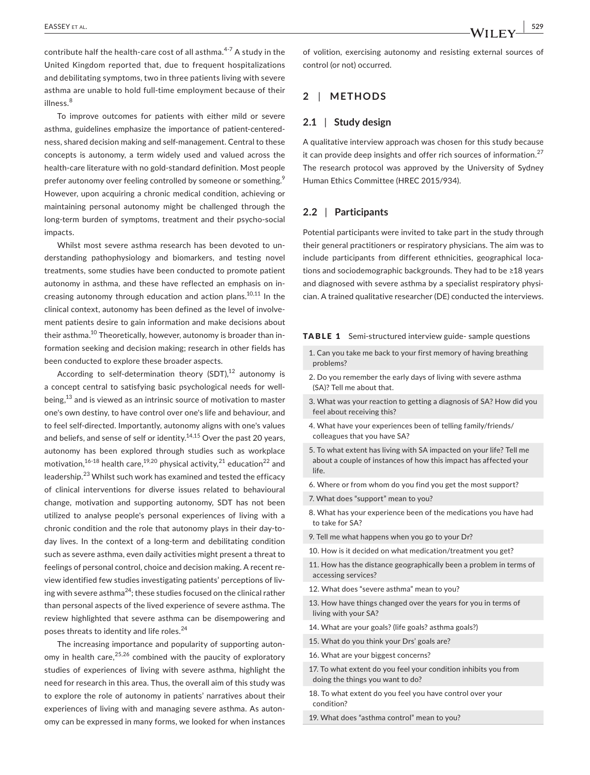contribute half the health-care cost of all asthma.<sup>4-7</sup> A study in the United Kingdom reported that, due to frequent hospitalizations and debilitating symptoms, two in three patients living with severe asthma are unable to hold full-time employment because of their illness.<sup>8</sup>

To improve outcomes for patients with either mild or severe asthma, guidelines emphasize the importance of patient‐centeredness, shared decision making and self‐management. Central to these concepts is autonomy, a term widely used and valued across the health-care literature with no gold-standard definition. Most people prefer autonomy over feeling controlled by someone or something.<sup>9</sup> However, upon acquiring a chronic medical condition, achieving or maintaining personal autonomy might be challenged through the long-term burden of symptoms, treatment and their psycho-social impacts.

Whilst most severe asthma research has been devoted to understanding pathophysiology and biomarkers, and testing novel treatments, some studies have been conducted to promote patient autonomy in asthma, and these have reflected an emphasis on increasing autonomy through education and action plans.<sup>10,11</sup> In the clinical context, autonomy has been defined as the level of involvement patients desire to gain information and make decisions about their asthma.<sup>10</sup> Theoretically, however, autonomy is broader than information seeking and decision making; research in other fields has been conducted to explore these broader aspects.

According to self-determination theory  $(SDT)$ ,<sup>12</sup> autonomy is a concept central to satisfying basic psychological needs for well‐ being, $13$  and is viewed as an intrinsic source of motivation to master one's own destiny, to have control over one's life and behaviour, and to feel self‐directed. Importantly, autonomy aligns with one's values and beliefs, and sense of self or identity.<sup>14,15</sup> Over the past 20 years, autonomy has been explored through studies such as workplace motivation,<sup>16-18</sup> health care,<sup>19,20</sup> physical activity,<sup>21</sup> education<sup>22</sup> and leadership.<sup>23</sup> Whilst such work has examined and tested the efficacy of clinical interventions for diverse issues related to behavioural change, motivation and supporting autonomy, SDT has not been utilized to analyse people's personal experiences of living with a chronic condition and the role that autonomy plays in their day-today lives. In the context of a long‐term and debilitating condition such as severe asthma, even daily activities might present a threat to feelings of personal control, choice and decision making. A recent review identified few studies investigating patients' perceptions of living with severe asthma<sup>24</sup>; these studies focused on the clinical rather than personal aspects of the lived experience of severe asthma. The review highlighted that severe asthma can be disempowering and poses threats to identity and life roles.<sup>24</sup>

The increasing importance and popularity of supporting autonomy in health care,  $25,26$  combined with the paucity of exploratory studies of experiences of living with severe asthma, highlight the need for research in this area. Thus, the overall aim of this study was to explore the role of autonomy in patients' narratives about their experiences of living with and managing severe asthma. As autonomy can be expressed in many forms, we looked for when instances

of volition, exercising autonomy and resisting external sources of control (or not) occurred.

## **2** | **METHODS**

### **2.1** | **Study design**

A qualitative interview approach was chosen for this study because it can provide deep insights and offer rich sources of information. $27$ The research protocol was approved by the University of Sydney Human Ethics Committee (HREC 2015/934).

## **2.2** | **Participants**

Potential participants were invited to take part in the study through their general practitioners or respiratory physicians. The aim was to include participants from different ethnicities, geographical locations and sociodemographic backgrounds. They had to be ≥18 years and diagnosed with severe asthma by a specialist respiratory physician. A trained qualitative researcher (DE) conducted the interviews.

#### TABLE 1 Semi-structured interview guide- sample questions

- 1. Can you take me back to your first memory of having breathing problems?
- 2. Do you remember the early days of living with severe asthma (SA)? Tell me about that.
- 3. What was your reaction to getting a diagnosis of SA? How did you feel about receiving this?
- 4. What have your experiences been of telling family/friends/ colleagues that you have SA?
- 5. To what extent has living with SA impacted on your life? Tell me about a couple of instances of how this impact has affected your life.
- 6. Where or from whom do you find you get the most support?
- 7. What does "support" mean to you?
- 8. What has your experience been of the medications you have had to take for SA?
- 9. Tell me what happens when you go to your Dr?
- 10. How is it decided on what medication/treatment you get?
- 11. How has the distance geographically been a problem in terms of accessing services?
- 12. What does "severe asthma" mean to you?
- 13. How have things changed over the years for you in terms of living with your SA?
- 14. What are your goals? (life goals? asthma goals?)
- 15. What do you think your Drs' goals are?
- 16. What are your biggest concerns?
- 17. To what extent do you feel your condition inhibits you from doing the things you want to do?
- 18. To what extent do you feel you have control over your condition?

19. What does "asthma control" mean to you?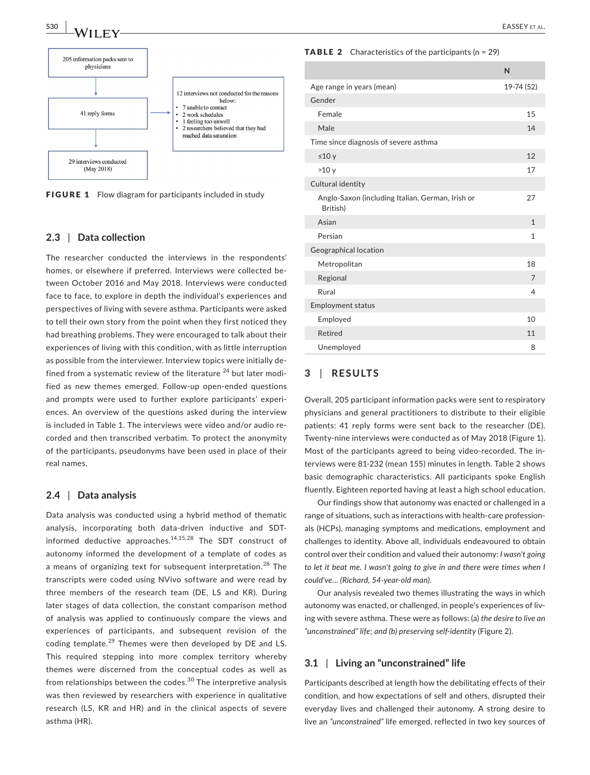



FIGURE 1 Flow diagram for participants included in study

## **2.3** | **Data collection**

The researcher conducted the interviews in the respondents' homes, or elsewhere if preferred. Interviews were collected between October 2016 and May 2018. Interviews were conducted face to face, to explore in depth the individual's experiences and perspectives of living with severe asthma. Participants were asked to tell their own story from the point when they first noticed they had breathing problems. They were encouraged to talk about their experiences of living with this condition, with as little interruption as possible from the interviewer. Interview topics were initially defined from a systematic review of the literature  $24$  but later modified as new themes emerged. Follow‐up open‐ended questions and prompts were used to further explore participants' experiences. An overview of the questions asked during the interview is included in Table 1. The interviews were video and/or audio recorded and then transcribed verbatim. To protect the anonymity of the participants, pseudonyms have been used in place of their real names.

## **2.4** | **Data analysis**

Data analysis was conducted using a hybrid method of thematic analysis, incorporating both data-driven inductive and SDTinformed deductive approaches. $14,15,28$  The SDT construct of autonomy informed the development of a template of codes as a means of organizing text for subsequent interpretation.<sup>28</sup> The transcripts were coded using NVivo software and were read by three members of the research team (DE, LS and KR). During later stages of data collection, the constant comparison method of analysis was applied to continuously compare the views and experiences of participants, and subsequent revision of the coding template.<sup>29</sup> Themes were then developed by DE and LS. This required stepping into more complex territory whereby themes were discerned from the conceptual codes as well as from relationships between the codes.<sup>30</sup> The interpretive analysis was then reviewed by researchers with experience in qualitative research (LS, KR and HR) and in the clinical aspects of severe asthma (HR).

#### **TABLE 2** Characteristics of the participants  $(n = 29)$

|                                                              | $\mathsf{N}$   |
|--------------------------------------------------------------|----------------|
| Age range in years (mean)                                    | 19-74 (52)     |
| Gender                                                       |                |
| Female                                                       | 15             |
| Male                                                         | 14             |
| Time since diagnosis of severe asthma                        |                |
| ≤10y                                                         | 12             |
| >10y                                                         | 17             |
| Cultural identity                                            |                |
| Anglo-Saxon (including Italian, German, Irish or<br>British) | 27             |
| Asian                                                        | $\mathbf{1}$   |
| Persian                                                      | 1              |
| Geographical location                                        |                |
| Metropolitan                                                 | 18             |
| Regional                                                     | $\overline{7}$ |
| Rural                                                        | $\overline{4}$ |
| <b>Employment status</b>                                     |                |
| Employed                                                     | 10             |
| Retired                                                      | 11             |
| Unemployed                                                   | 8              |

## **3** | **RESULTS**

Overall, 205 participant information packs were sent to respiratory physicians and general practitioners to distribute to their eligible patients: 41 reply forms were sent back to the researcher (DE). Twenty‐nine interviews were conducted as of May 2018 (Figure 1). Most of the participants agreed to being video‐recorded. The interviews were 81‐232 (mean 155) minutes in length. Table 2 shows basic demographic characteristics. All participants spoke English fluently. Eighteen reported having at least a high school education.

Our findings show that autonomy was enacted or challenged in a range of situations, such as interactions with health‐care professionals (HCPs), managing symptoms and medications, employment and challenges to identity. Above all, individuals endeavoured to obtain control over their condition and valued their autonomy: *I wasn't going*  to let it beat me. I wasn't going to give in and there were times when I *could've… (Richard, 54‐year‐old man)*.

Our analysis revealed two themes illustrating the ways in which autonomy was enacted, or challenged, in people's experiences of living with severe asthma. These were as follows: (a) *the desire to live an "unconstrained" life*; *and (b) preserving self‐identity* (Figure 2).

## **3.1** | **Living an "unconstrained" life**

Participants described at length how the debilitating effects of their condition, and how expectations of self and others, disrupted their everyday lives and challenged their autonomy. A strong desire to live an *"unconstrained"* life emerged, reflected in two key sources of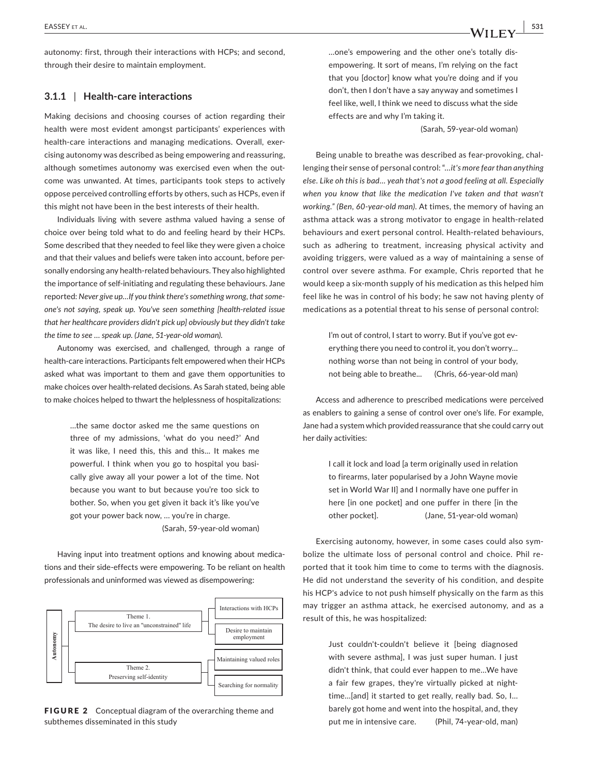autonomy: first, through their interactions with HCPs; and second, through their desire to maintain employment.

## **3.1.1** | **Health‐care interactions**

Making decisions and choosing courses of action regarding their health were most evident amongst participants' experiences with health-care interactions and managing medications. Overall, exercising autonomy was described as being empowering and reassuring, although sometimes autonomy was exercised even when the outcome was unwanted. At times, participants took steps to actively oppose perceived controlling efforts by others, such as HCPs, even if this might not have been in the best interests of their health.

Individuals living with severe asthma valued having a sense of choice over being told what to do and feeling heard by their HCPs. Some described that they needed to feel like they were given a choice and that their values and beliefs were taken into account, before personally endorsing any health‐related behaviours. They also highlighted the importance of self-initiating and regulating these behaviours. Jane reported: *Never give up…If you think there's something wrong, that some‐ one's not saying, speak up. You've seen something [health‐related issue that her healthcare providers didn't pick up] obviously but they didn't take the time to see … speak up. (Jane, 51‐year‐old woman).*

Autonomy was exercised, and challenged, through a range of health-care interactions. Participants felt empowered when their HCPs asked what was important to them and gave them opportunities to make choices over health‐related decisions. As Sarah stated, being able to make choices helped to thwart the helplessness of hospitalizations:

> …the same doctor asked me the same questions on three of my admissions, 'what do you need?' And it was like, I need this, this and this... It makes me powerful. I think when you go to hospital you basically give away all your power a lot of the time. Not because you want to but because you're too sick to bother. So, when you get given it back it's like you've got your power back now, … you're in charge.

(Sarah, 59‐year‐old woman)

Having input into treatment options and knowing about medications and their side‐effects were empowering. To be reliant on health professionals and uninformed was viewed as disempowering:



FIGURE 2 Conceptual diagram of the overarching theme and

…one's empowering and the other one's totally disempowering. It sort of means, I'm relying on the fact that you [doctor] know what you're doing and if you don't, then I don't have a say anyway and sometimes I feel like, well, I think we need to discuss what the side effects are and why I'm taking it.

(Sarah, 59‐year‐old woman)

Being unable to breathe was described as fear‐provoking, challenging their sense of personal control: "*…it's more fear than anything else. Like oh this is bad… yeah that's not a good feeling at all. Especially when you know that like the medication I've taken and that wasn't working." (Ben, 60‐year‐old man)*. At times, the memory of having an asthma attack was a strong motivator to engage in health‐related behaviours and exert personal control. Health‐related behaviours, such as adhering to treatment, increasing physical activity and avoiding triggers, were valued as a way of maintaining a sense of control over severe asthma. For example, Chris reported that he would keep a six‐month supply of his medication as this helped him feel like he was in control of his body; he saw not having plenty of medications as a potential threat to his sense of personal control:

> I'm out of control, I start to worry. But if you've got everything there you need to control it, you don't worry… nothing worse than not being in control of your body, not being able to breathe... (Chris, 66‐year‐old man)

Access and adherence to prescribed medications were perceived as enablers to gaining a sense of control over one's life. For example, Jane had a system which provided reassurance that she could carry out her daily activities:

> I call it lock and load [a term originally used in relation to firearms, later popularised by a John Wayne movie set in World War II] and I normally have one puffer in here [in one pocket] and one puffer in there [in the other pocket]. (Jane, 51‐year‐old woman)

Exercising autonomy, however, in some cases could also symbolize the ultimate loss of personal control and choice. Phil reported that it took him time to come to terms with the diagnosis. He did not understand the severity of his condition, and despite his HCP's advice to not push himself physically on the farm as this may trigger an asthma attack, he exercised autonomy, and as a result of this, he was hospitalized:

> Just couldn't‐couldn't believe it [being diagnosed with severe asthma], I was just super human. I just didn't think, that could ever happen to me…We have a fair few grapes, they're virtually picked at night‐ time…[and] it started to get really, really bad. So, I… barely got home and went into the hospital, and, they put me in intensive care. (Phil, 74‐year‐old, man)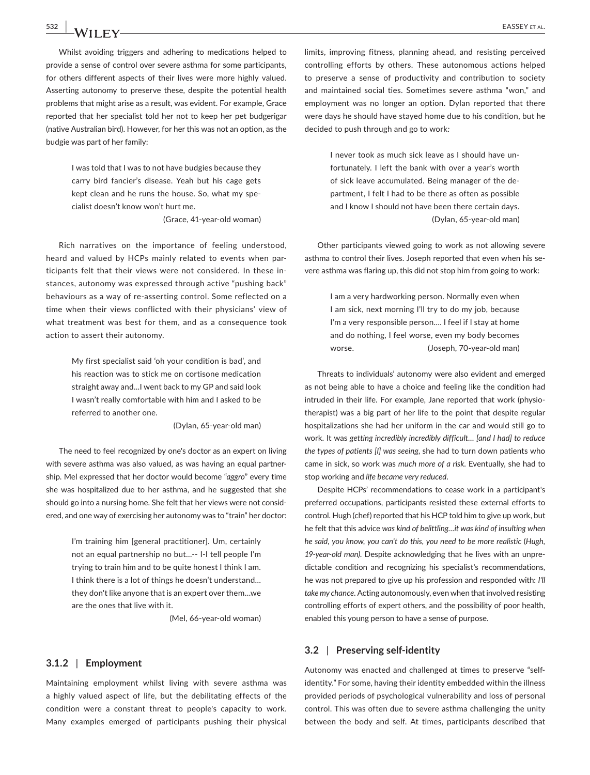Whilst avoiding triggers and adhering to medications helped to provide a sense of control over severe asthma for some participants, for others different aspects of their lives were more highly valued. Asserting autonomy to preserve these, despite the potential health problems that might arise as a result, was evident. For example, Grace reported that her specialist told her not to keep her pet budgerigar (native Australian bird). However, for her this was not an option, as the budgie was part of her family:

> I was told that I was to not have budgies because they carry bird fancier's disease. Yeah but his cage gets kept clean and he runs the house. So, what my specialist doesn't know won't hurt me. (Grace, 41‐year‐old woman)

Rich narratives on the importance of feeling understood, heard and valued by HCPs mainly related to events when participants felt that their views were not considered. In these instances, autonomy was expressed through active "pushing back" behaviours as a way of re‐asserting control. Some reflected on a time when their views conflicted with their physicians' view of what treatment was best for them, and as a consequence took action to assert their autonomy.

> My first specialist said 'oh your condition is bad', and his reaction was to stick me on cortisone medication straight away and...I went back to my GP and said look I wasn't really comfortable with him and I asked to be referred to another one.

> > (Dylan, 65‐year‐old man)

The need to feel recognized by one's doctor as an expert on living with severe asthma was also valued, as was having an equal partnership. Mel expressed that her doctor would become "*aggro*" every time she was hospitalized due to her asthma, and he suggested that she should go into a nursing home. She felt that her views were not considered, and one way of exercising her autonomy was to "train" her doctor:

> I'm training him [general practitioner]. Um, certainly not an equal partnership no but…‐‐ I‐I tell people I'm trying to train him and to be quite honest I think I am. I think there is a lot of things he doesn't understand… they don't like anyone that is an expert over them…we are the ones that live with it.

> > (Mel, 66‐year‐old woman)

### **3.1.2** | **Employment**

Maintaining employment whilst living with severe asthma was a highly valued aspect of life, but the debilitating effects of the condition were a constant threat to people's capacity to work. Many examples emerged of participants pushing their physical limits, improving fitness, planning ahead, and resisting perceived controlling efforts by others. These autonomous actions helped to preserve a sense of productivity and contribution to society and maintained social ties. Sometimes severe asthma "won," and employment was no longer an option. Dylan reported that there were days he should have stayed home due to his condition, but he decided to push through and go to work*:*

> I never took as much sick leave as I should have unfortunately. I left the bank with over a year's worth of sick leave accumulated. Being manager of the department, I felt I had to be there as often as possible and I know I should not have been there certain days. (Dylan, 65‐year‐old man)

Other participants viewed going to work as not allowing severe asthma to control their lives. Joseph reported that even when his severe asthma was flaring up, this did not stop him from going to work:

> I am a very hardworking person. Normally even when I am sick, next morning I'll try to do my job, because I'm a very responsible person…. I feel if I stay at home and do nothing, I feel worse, even my body becomes worse. (Joseph, 70-year-old man)

Threats to individuals' autonomy were also evident and emerged as not being able to have a choice and feeling like the condition had intruded in their life. For example, Jane reported that work (physiotherapist) was a big part of her life to the point that despite regular hospitalizations she had her uniform in the car and would still go to work. It was *getting incredibly incredibly difficult… [and I had] to reduce the types of patients [I] was seeing*, she had to turn down patients who came in sick, so work was *much more of a risk*. Eventually, she had to stop working and *life became very reduced*.

Despite HCPs' recommendations to cease work in a participant's preferred occupations, participants resisted these external efforts to control. Hugh (chef) reported that his HCP told him to give up work, but he felt that this advice *was kind of belittling…it was kind of insulting when he said, you know, you can't do this, you need to be more realistic* (*Hugh, 19‐year‐old man)*. Despite acknowledging that he lives with an unpredictable condition and recognizing his specialist's recommendations, he was not prepared to give up his profession and responded with: *I'll take my chance*. Acting autonomously, even when that involved resisting controlling efforts of expert others, and the possibility of poor health, enabled this young person to have a sense of purpose.

## **3.2** | **Preserving self‐identity**

Autonomy was enacted and challenged at times to preserve "self‐ identity." For some, having their identity embedded within the illness provided periods of psychological vulnerability and loss of personal control. This was often due to severe asthma challenging the unity between the body and self. At times, participants described that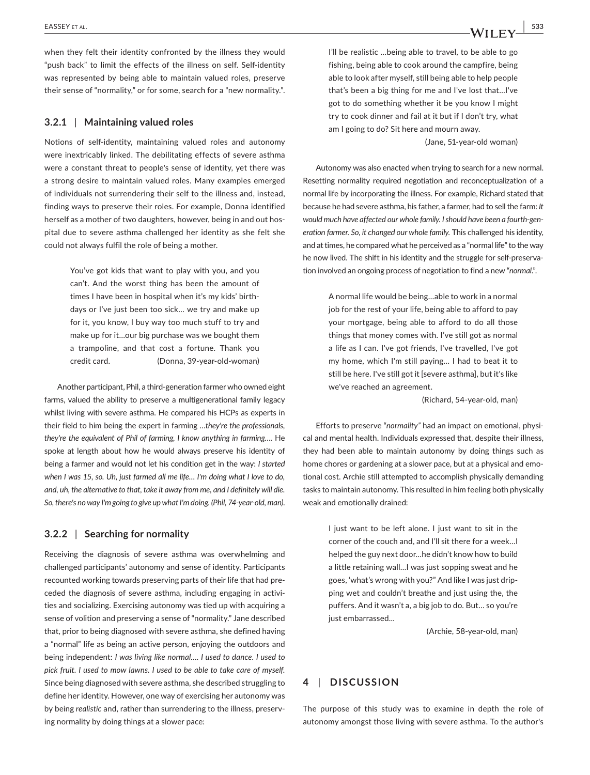when they felt their identity confronted by the illness they would "push back" to limit the effects of the illness on self. Self‐identity was represented by being able to maintain valued roles, preserve their sense of "normality," or for some, search for a "new normality.".

### **3.2.1** | **Maintaining valued roles**

Notions of self‐identity, maintaining valued roles and autonomy were inextricably linked. The debilitating effects of severe asthma were a constant threat to people's sense of identity, yet there was a strong desire to maintain valued roles. Many examples emerged of individuals not surrendering their self to the illness and, instead, finding ways to preserve their roles. For example, Donna identified herself as a mother of two daughters, however, being in and out hospital due to severe asthma challenged her identity as she felt she could not always fulfil the role of being a mother.

> You've got kids that want to play with you, and you can't. And the worst thing has been the amount of times I have been in hospital when it's my kids' birthdays or I've just been too sick… we try and make up for it, you know, I buy way too much stuff to try and make up for it…our big purchase was we bought them a trampoline, and that cost a fortune. Thank you credit card. (Donna, 39‐year‐old‐woman)

Another participant, Phil, a third‐generation farmer who owned eight farms, valued the ability to preserve a multigenerational family legacy whilst living with severe asthma. He compared his HCPs as experts in their field to him being the expert in farming *…they're the professionals, they're the equivalent of Phil of farming, I know anything in farming….* He spoke at length about how he would always preserve his identity of being a farmer and would not let his condition get in the way: *I started when I was 15, so. Uh, just farmed all me life… I'm doing what I love to do, and, uh, the alternative to that, take it away from me, and I definitely will die. So, there's no way I'm going to give up what I'm doing. (Phil, 74‐year‐old, man)*.

### **3.2.2** | **Searching for normality**

Receiving the diagnosis of severe asthma was overwhelming and challenged participants' autonomy and sense of identity. Participants recounted working towards preserving parts of their life that had preceded the diagnosis of severe asthma, including engaging in activities and socializing. Exercising autonomy was tied up with acquiring a sense of volition and preserving a sense of "normality." Jane described that, prior to being diagnosed with severe asthma, she defined having a "normal" life as being an active person, enjoying the outdoors and being independent: *I was living like normal…. I used to dance. I used to pick fruit. I used to mow lawns. I used to be able to take care of myself.*  Since being diagnosed with severe asthma, she described struggling to define her identity. However, one way of exercising her autonomy was by being *realistic* and, rather than surrendering to the illness, preserving normality by doing things at a slower pace:

I'll be realistic …being able to travel, to be able to go fishing, being able to cook around the campfire, being able to look after myself, still being able to help people that's been a big thing for me and I've lost that…I've got to do something whether it be you know I might try to cook dinner and fail at it but if I don't try, what am I going to do? Sit here and mourn away.

(Jane, 51‐year‐old woman)

Autonomy was also enacted when trying to search for a new normal. Resetting normality required negotiation and reconceptualization of a normal life by incorporating the illness. For example, Richard stated that because he had severe asthma, his father, a farmer, had to sell the farm: *It would much have affected our whole family. I should have been a fourth‐gen‐ eration farmer. So, it changed our whole family.* This challenged his identity, and at times, he compared what he perceived as a "normal life" to the way he now lived. The shift in his identity and the struggle for self-preservation involved an ongoing process of negotiation to find a new "*normal*.".

> A normal life would be being…able to work in a normal job for the rest of your life, being able to afford to pay your mortgage, being able to afford to do all those things that money comes with. I've still got as normal a life as I can. I've got friends, I've travelled, I've got my home, which I'm still paying… I had to beat it to still be here. I've still got it [severe asthma], but it's like we've reached an agreement.

> > (Richard, 54‐year‐old, man)

Efforts to preserve "*normality"* had an impact on emotional, physical and mental health. Individuals expressed that, despite their illness, they had been able to maintain autonomy by doing things such as home chores or gardening at a slower pace, but at a physical and emotional cost. Archie still attempted to accomplish physically demanding tasks to maintain autonomy. This resulted in him feeling both physically weak and emotionally drained:

> I just want to be left alone. I just want to sit in the corner of the couch and, and I'll sit there for a week…I helped the guy next door…he didn't know how to build a little retaining wall…I was just sopping sweat and he goes, 'what's wrong with you?" And like I was just dripping wet and couldn't breathe and just using the, the puffers. And it wasn't a, a big job to do. But… so you're just embarrassed...

> > (Archie, 58‐year‐old, man)

## **4** | **DISCUSSION**

The purpose of this study was to examine in depth the role of autonomy amongst those living with severe asthma. To the author's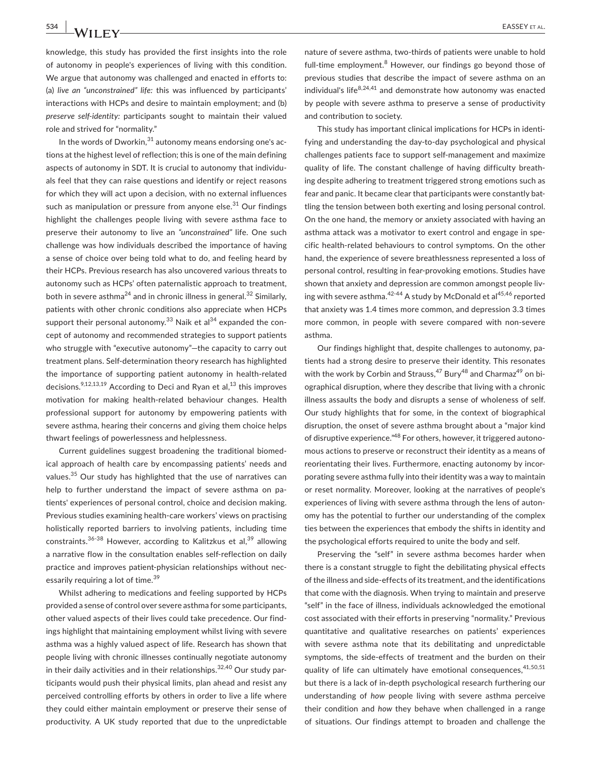knowledge, this study has provided the first insights into the role of autonomy in people's experiences of living with this condition. We argue that autonomy was challenged and enacted in efforts to: (a) *live an "unconstrained" life:* this was influenced by participants' interactions with HCPs and desire to maintain employment; and (b) *preserve self‐identity:* participants sought to maintain their valued role and strived for "normality."

In the words of Dworkin. $^{31}$  autonomy means endorsing one's actions at the highest level of reflection; this is one of the main defining aspects of autonomy in SDT. It is crucial to autonomy that individuals feel that they can raise questions and identify or reject reasons for which they will act upon a decision, with no external influences such as manipulation or pressure from anyone else.<sup>31</sup> Our findings highlight the challenges people living with severe asthma face to preserve their autonomy to live an *"unconstrained"* life. One such challenge was how individuals described the importance of having a sense of choice over being told what to do, and feeling heard by their HCPs. Previous research has also uncovered various threats to autonomy such as HCPs' often paternalistic approach to treatment, both in severe asthma<sup>24</sup> and in chronic illness in general.<sup>32</sup> Similarly, patients with other chronic conditions also appreciate when HCPs support their personal autonomy.<sup>33</sup> Naik et al<sup>34</sup> expanded the concept of autonomy and recommended strategies to support patients who struggle with "executive autonomy"—the capacity to carry out treatment plans. Self‐determination theory research has highlighted the importance of supporting patient autonomy in health‐related decisions.<sup>9,12,13,19</sup> According to Deci and Ryan et al,<sup>13</sup> this improves motivation for making health‐related behaviour changes. Health professional support for autonomy by empowering patients with severe asthma, hearing their concerns and giving them choice helps thwart feelings of powerlessness and helplessness.

Current guidelines suggest broadening the traditional biomedical approach of health care by encompassing patients' needs and values.<sup>35</sup> Our study has highlighted that the use of narratives can help to further understand the impact of severe asthma on patients' experiences of personal control, choice and decision making. Previous studies examining health‐care workers' views on practising holistically reported barriers to involving patients, including time constraints.<sup>36-38</sup> However, according to Kalitzkus et al,  $39$  allowing a narrative flow in the consultation enables self‐reflection on daily practice and improves patient‐physician relationships without necessarily requiring a lot of time.<sup>39</sup>

Whilst adhering to medications and feeling supported by HCPs provided a sense of control over severe asthma for some participants, other valued aspects of their lives could take precedence. Our findings highlight that maintaining employment whilst living with severe asthma was a highly valued aspect of life. Research has shown that people living with chronic illnesses continually negotiate autonomy in their daily activities and in their relationships. $32,40$  Our study participants would push their physical limits, plan ahead and resist any perceived controlling efforts by others in order to live a life where they could either maintain employment or preserve their sense of productivity. A UK study reported that due to the unpredictable

nature of severe asthma, two-thirds of patients were unable to hold full-time employment.<sup>8</sup> However, our findings go beyond those of previous studies that describe the impact of severe asthma on an individual's life $8,24,41$  and demonstrate how autonomy was enacted by people with severe asthma to preserve a sense of productivity and contribution to society.

This study has important clinical implications for HCPs in identifying and understanding the day‐to‐day psychological and physical challenges patients face to support self‐management and maximize quality of life. The constant challenge of having difficulty breathing despite adhering to treatment triggered strong emotions such as fear and panic. It became clear that participants were constantly battling the tension between both exerting and losing personal control. On the one hand, the memory or anxiety associated with having an asthma attack was a motivator to exert control and engage in specific health‐related behaviours to control symptoms. On the other hand, the experience of severe breathlessness represented a loss of personal control, resulting in fear-provoking emotions. Studies have shown that anxiety and depression are common amongst people living with severe asthma.<sup>42-44</sup> A study by McDonald et al<sup>45,46</sup> reported that anxiety was 1.4 times more common, and depression 3.3 times more common, in people with severe compared with non‐severe asthma.

Our findings highlight that, despite challenges to autonomy, patients had a strong desire to preserve their identity. This resonates with the work by Corbin and Strauss,  $47$  Bury $48$  and Charmaz $49$  on biographical disruption, where they describe that living with a chronic illness assaults the body and disrupts a sense of wholeness of self. Our study highlights that for some, in the context of biographical disruption, the onset of severe asthma brought about a "major kind of disruptive experience."48 For others, however, it triggered autonomous actions to preserve or reconstruct their identity as a means of reorientating their lives. Furthermore, enacting autonomy by incorporating severe asthma fully into their identity was a way to maintain or reset normality. Moreover, looking at the narratives of people's experiences of living with severe asthma through the lens of autonomy has the potential to further our understanding of the complex ties between the experiences that embody the shifts in identity and the psychological efforts required to unite the body and self.

Preserving the "self" in severe asthma becomes harder when there is a constant struggle to fight the debilitating physical effects of the illness and side‐effects of its treatment, and the identifications that come with the diagnosis. When trying to maintain and preserve "self" in the face of illness, individuals acknowledged the emotional cost associated with their efforts in preserving "normality." Previous quantitative and qualitative researches on patients' experiences with severe asthma note that its debilitating and unpredictable symptoms, the side-effects of treatment and the burden on their quality of life can ultimately have emotional consequences, 41,50,51 but there is a lack of in‐depth psychological research furthering our understanding of *how* people living with severe asthma perceive their condition and *how* they behave when challenged in a range of situations. Our findings attempt to broaden and challenge the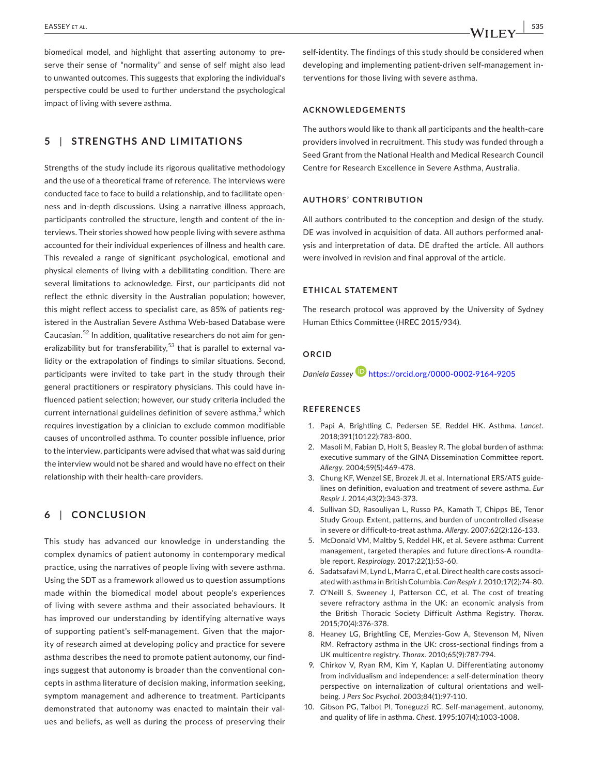biomedical model, and highlight that asserting autonomy to preserve their sense of "normality" and sense of self might also lead to unwanted outcomes. This suggests that exploring the individual's perspective could be used to further understand the psychological impact of living with severe asthma.

## **5** | **STRENGTHS AND LIMITATIONS**

Strengths of the study include its rigorous qualitative methodology and the use of a theoretical frame of reference. The interviews were conducted face to face to build a relationship, and to facilitate openness and in‐depth discussions. Using a narrative illness approach, participants controlled the structure, length and content of the interviews. Their stories showed how people living with severe asthma accounted for their individual experiences of illness and health care. This revealed a range of significant psychological, emotional and physical elements of living with a debilitating condition. There are several limitations to acknowledge. First, our participants did not reflect the ethnic diversity in the Australian population; however, this might reflect access to specialist care, as 85% of patients registered in the Australian Severe Asthma Web‐based Database were Caucasian.<sup>52</sup> In addition, qualitative researchers do not aim for generalizability but for transferability,<sup>53</sup> that is parallel to external validity or the extrapolation of findings to similar situations. Second, participants were invited to take part in the study through their general practitioners or respiratory physicians. This could have influenced patient selection; however, our study criteria included the current international guidelines definition of severe asthma, $^3$  which requires investigation by a clinician to exclude common modifiable causes of uncontrolled asthma. To counter possible influence, prior to the interview, participants were advised that what was said during the interview would not be shared and would have no effect on their relationship with their health‐care providers.

## **6** | **CONCLUSION**

This study has advanced our knowledge in understanding the complex dynamics of patient autonomy in contemporary medical practice, using the narratives of people living with severe asthma. Using the SDT as a framework allowed us to question assumptions made within the biomedical model about people's experiences of living with severe asthma and their associated behaviours. It has improved our understanding by identifying alternative ways of supporting patient's self‐management. Given that the majority of research aimed at developing policy and practice for severe asthma describes the need to promote patient autonomy, our findings suggest that autonomy is broader than the conventional concepts in asthma literature of decision making, information seeking, symptom management and adherence to treatment. Participants demonstrated that autonomy was enacted to maintain their values and beliefs, as well as during the process of preserving their

self-identity. The findings of this study should be considered when developing and implementing patient‐driven self‐management interventions for those living with severe asthma.

#### **ACKNOWLEDGEMENTS**

The authors would like to thank all participants and the health‐care providers involved in recruitment. This study was funded through a Seed Grant from the National Health and Medical Research Council Centre for Research Excellence in Severe Asthma, Australia.

## **AUTHORS' CONTRIBUTION**

All authors contributed to the conception and design of the study. DE was involved in acquisition of data. All authors performed analysis and interpretation of data. DE drafted the article. All authors were involved in revision and final approval of the article.

## **ETHICAL STATEMENT**

The research protocol was approved by the University of Sydney Human Ethics Committee (HREC 2015/934).

## **ORCID**

*Daniela Eassey* <https://orcid.org/0000-0002-9164-9205>

### **REFERENCES**

- 1. Papi A, Brightling C, Pedersen SE, Reddel HK. Asthma. *Lancet*. 2018;391(10122):783‐800.
- 2. Masoli M, Fabian D, Holt S, Beasley R. The global burden of asthma: executive summary of the GINA Dissemination Committee report. *Allergy*. 2004;59(5):469‐478.
- 3. Chung KF, Wenzel SE, Brozek Jl, et al. International ERS/ATS guidelines on definition, evaluation and treatment of severe asthma. *Eur Respir J*. 2014;43(2):343‐373.
- 4. Sullivan SD, Rasouliyan L, Russo PA, Kamath T, Chipps BE, Tenor Study Group. Extent, patterns, and burden of uncontrolled disease in severe or difficult‐to‐treat asthma. *Allergy*. 2007;62(2):126‐133.
- 5. McDonald VM, Maltby S, Reddel HK, et al. Severe asthma: Current management, targeted therapies and future directions‐A roundtable report. *Respirology*. 2017;22(1):53‐60.
- 6. Sadatsafavi M, Lynd L, Marra C, et al. Direct health care costs associated with asthma in British Columbia. *Can Respir J*. 2010;17(2):74‐80.
- 7. O'Neill S, Sweeney J, Patterson CC, et al. The cost of treating severe refractory asthma in the UK: an economic analysis from the British Thoracic Society Difficult Asthma Registry. *Thorax*. 2015;70(4):376‐378.
- 8. Heaney LG, Brightling CE, Menzies‐Gow A, Stevenson M, Niven RM. Refractory asthma in the UK: cross‐sectional findings from a UK multicentre registry. *Thorax*. 2010;65(9):787‐794.
- 9. Chirkov V, Ryan RM, Kim Y, Kaplan U. Differentiating autonomy from individualism and independence: a self‐determination theory perspective on internalization of cultural orientations and well‐ being. *J Pers Soc Psychol*. 2003;84(1):97‐110.
- 10. Gibson PG, Talbot PI, Toneguzzi RC. Self‐management, autonomy, and quality of life in asthma. *Chest*. 1995;107(4):1003‐1008.